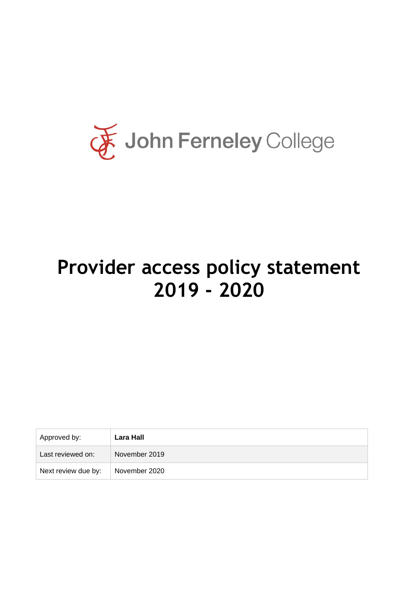

# **Provider access policy statement 2019 - 2020**

| Approved by:        | Lara Hall     |
|---------------------|---------------|
| Last reviewed on:   | November 2019 |
| Next review due by: | November 2020 |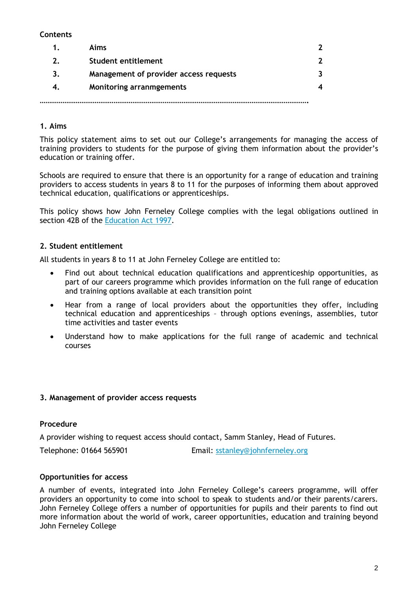# **Contents**

|    | Aims                                   |  |
|----|----------------------------------------|--|
| 2. | <b>Student entitlement</b>             |  |
| 3. | Management of provider access requests |  |
|    | <b>Monitoring arranmgements</b>        |  |
|    |                                        |  |

# **1. Aims**

This policy statement aims to set out our College's arrangements for managing the access of training providers to students for the purpose of giving them information about the provider's education or training offer.

Schools are required to ensure that there is an opportunity for a range of education and training providers to access students in years 8 to 11 for the purposes of informing them about approved technical education, qualifications or apprenticeships.

This policy shows how John Ferneley College complies with the legal obligations outlined in section 42B of the [Education Act 1997.](https://www.legislation.gov.uk/ukpga/1997/44/section/42B)

## **2. Student entitlement**

All students in years 8 to 11 at John Ferneley College are entitled to:

- Find out about technical education qualifications and apprenticeship opportunities, as part of our careers programme which provides information on the full range of education and training options available at each transition point
- Hear from a range of local providers about the opportunities they offer, including technical education and apprenticeships – through options evenings, assemblies, tutor time activities and taster events
- Understand how to make applications for the full range of academic and technical courses

#### **3. Management of provider access requests**

#### **Procedure**

A provider wishing to request access should contact, Samm Stanley, Head of Futures.

Telephone: 01664 565901 Email: [sstanley@johnferneley.org](mailto:sstanley@johnferneley.org)

#### **Opportunities for access**

A number of events, integrated into John Ferneley College's careers programme, will offer providers an opportunity to come into school to speak to students and/or their parents/carers. John Ferneley College offers a number of opportunities for pupils and their parents to find out more information about the world of work, career opportunities, education and training beyond John Ferneley College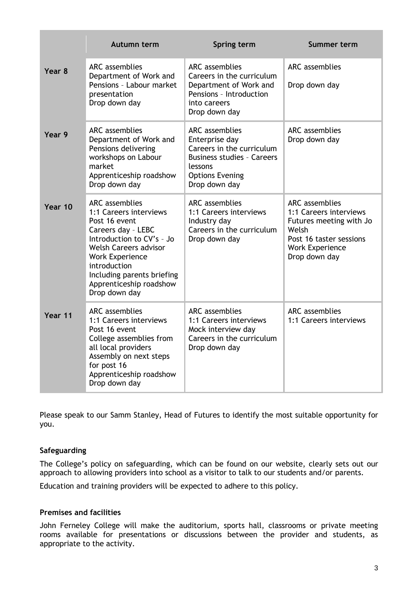|         | Autumn term                                                                                                                                                                                                                                                             | Spring term                                                                                                                                              | <b>Summer term</b>                                                                                                                                        |
|---------|-------------------------------------------------------------------------------------------------------------------------------------------------------------------------------------------------------------------------------------------------------------------------|----------------------------------------------------------------------------------------------------------------------------------------------------------|-----------------------------------------------------------------------------------------------------------------------------------------------------------|
| Year 8  | <b>ARC</b> assemblies<br>Department of Work and<br>Pensions - Labour market<br>presentation<br>Drop down day                                                                                                                                                            | <b>ARC</b> assemblies<br>Careers in the curriculum<br>Department of Work and<br>Pensions - Introduction<br>into careers<br>Drop down day                 | ARC assemblies<br>Drop down day                                                                                                                           |
| Year 9  | <b>ARC</b> assemblies<br>Department of Work and<br>Pensions delivering<br>workshops on Labour<br>market<br>Apprenticeship roadshow<br>Drop down day                                                                                                                     | ARC assemblies<br>Enterprise day<br>Careers in the curriculum<br><b>Business studies - Careers</b><br>lessons<br><b>Options Evening</b><br>Drop down day | ARC assemblies<br>Drop down day                                                                                                                           |
| Year 10 | <b>ARC</b> assemblies<br>1:1 Careers interviews<br>Post 16 event<br>Careers day - LEBC<br>Introduction to CV's - Jo<br><b>Welsh Careers advisor</b><br><b>Work Experience</b><br>introduction<br>Including parents briefing<br>Apprenticeship roadshow<br>Drop down day | ARC assemblies<br>1:1 Careers interviews<br>Industry day<br>Careers in the curriculum<br>Drop down day                                                   | <b>ARC</b> assemblies<br>1:1 Careers interviews<br>Futures meeting with Jo<br>Welsh<br>Post 16 taster sessions<br><b>Work Experience</b><br>Drop down day |
| Year 11 | ARC assemblies<br>1:1 Careers interviews<br>Post 16 event<br>College assemblies from<br>all local providers<br>Assembly on next steps<br>for post 16<br>Apprenticeship roadshow<br>Drop down day                                                                        | <b>ARC</b> assemblies<br>1:1 Careers interviews<br>Mock interview day<br>Careers in the curriculum<br>Drop down day                                      | ARC assemblies<br>1:1 Careers interviews                                                                                                                  |

Please speak to our Samm Stanley, Head of Futures to identify the most suitable opportunity for you.

#### **Safeguarding**

The College's policy on safeguarding, which can be found on our website, clearly sets out our approach to allowing providers into school as a visitor to talk to our students and/or parents.

Education and training providers will be expected to adhere to this policy.

# **Premises and facilities**

John Ferneley College will make the auditorium, sports hall, classrooms or private meeting rooms available for presentations or discussions between the provider and students, as appropriate to the activity.